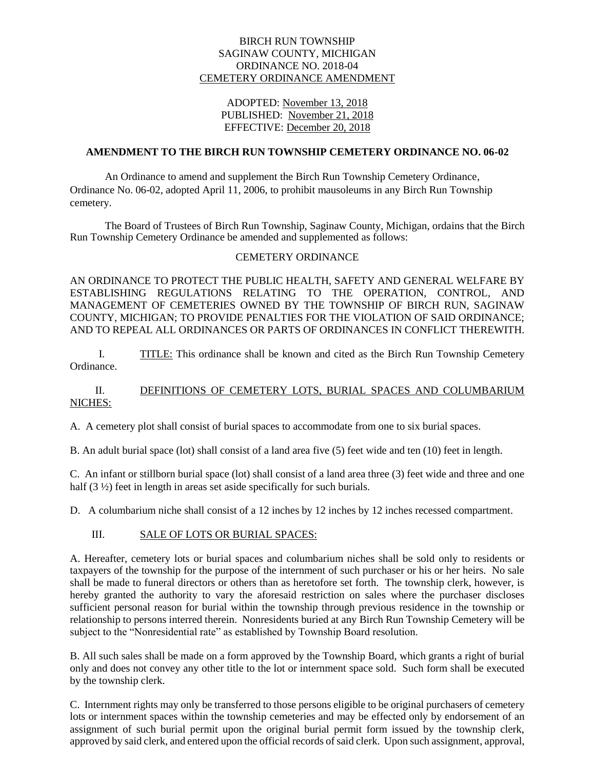#### BIRCH RUN TOWNSHIP SAGINAW COUNTY, MICHIGAN ORDINANCE NO. 2018-04 CEMETERY ORDINANCE AMENDMENT

### ADOPTED: November 13, 2018 PUBLISHED: November 21, 2018 EFFECTIVE: December 20, 2018

### **AMENDMENT TO THE BIRCH RUN TOWNSHIP CEMETERY ORDINANCE NO. 06-02**

An Ordinance to amend and supplement the Birch Run Township Cemetery Ordinance, Ordinance No. 06-02, adopted April 11, 2006, to prohibit mausoleums in any Birch Run Township cemetery.

The Board of Trustees of Birch Run Township, Saginaw County, Michigan, ordains that the Birch Run Township Cemetery Ordinance be amended and supplemented as follows:

#### CEMETERY ORDINANCE

AN ORDINANCE TO PROTECT THE PUBLIC HEALTH, SAFETY AND GENERAL WELFARE BY ESTABLISHING REGULATIONS RELATING TO THE OPERATION, CONTROL, AND MANAGEMENT OF CEMETERIES OWNED BY THE TOWNSHIP OF BIRCH RUN, SAGINAW COUNTY, MICHIGAN; TO PROVIDE PENALTIES FOR THE VIOLATION OF SAID ORDINANCE; AND TO REPEAL ALL ORDINANCES OR PARTS OF ORDINANCES IN CONFLICT THEREWITH.

I. TITLE: This ordinance shall be known and cited as the Birch Run Township Cemetery Ordinance.

### II. DEFINITIONS OF CEMETERY LOTS, BURIAL SPACES AND COLUMBARIUM NICHES:

A. A cemetery plot shall consist of burial spaces to accommodate from one to six burial spaces.

B. An adult burial space (lot) shall consist of a land area five (5) feet wide and ten (10) feet in length.

C. An infant or stillborn burial space (lot) shall consist of a land area three (3) feet wide and three and one half (3  $\frac{1}{2}$ ) feet in length in areas set aside specifically for such burials.

D. A columbarium niche shall consist of a 12 inches by 12 inches by 12 inches recessed compartment.

### III. SALE OF LOTS OR BURIAL SPACES:

A. Hereafter, cemetery lots or burial spaces and columbarium niches shall be sold only to residents or taxpayers of the township for the purpose of the internment of such purchaser or his or her heirs. No sale shall be made to funeral directors or others than as heretofore set forth. The township clerk, however, is hereby granted the authority to vary the aforesaid restriction on sales where the purchaser discloses sufficient personal reason for burial within the township through previous residence in the township or relationship to persons interred therein. Nonresidents buried at any Birch Run Township Cemetery will be subject to the "Nonresidential rate" as established by Township Board resolution.

B. All such sales shall be made on a form approved by the Township Board, which grants a right of burial only and does not convey any other title to the lot or internment space sold. Such form shall be executed by the township clerk.

C. Internment rights may only be transferred to those persons eligible to be original purchasers of cemetery lots or internment spaces within the township cemeteries and may be effected only by endorsement of an assignment of such burial permit upon the original burial permit form issued by the township clerk, approved by said clerk, and entered upon the official records of said clerk. Upon such assignment, approval,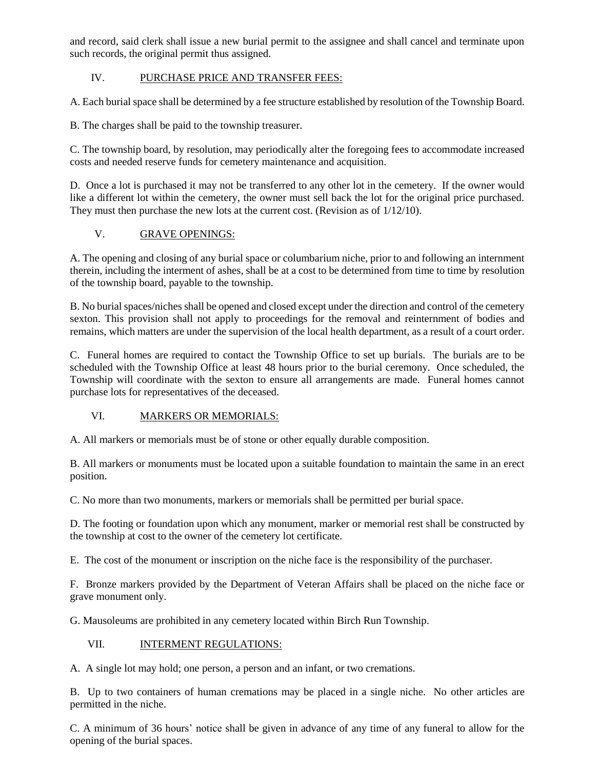and record, said clerk shall issue a new burial permit to the assignee and shall cancel and terminate upon such records, the original permit thus assigned.

# IV. PURCHASE PRICE AND TRANSFER FEES:

A. Each burial space shall be determined by a fee structure established by resolution of the Township Board.

B. The charges shall be paid to the township treasurer.

C. The township board, by resolution, may periodically alter the foregoing fees to accommodate increased costs and needed reserve funds for cemetery maintenance and acquisition.

D. Once a lot is purchased it may not be transferred to any other lot in the cemetery. If the owner would like a different lot within the cemetery, the owner must sell back the lot for the original price purchased. They must then purchase the new lots at the current cost. (Revision as of 1/12/10).

## V. GRAVE OPENINGS:

A. The opening and closing of any burial space or columbarium niche, prior to and following an internment therein, including the interment of ashes, shall be at a cost to be determined from time to time by resolution of the township board, payable to the township.

B. No burial spaces/niches shall be opened and closed except under the direction and control of the cemetery sexton. This provision shall not apply to proceedings for the removal and reinternment of bodies and remains, which matters are under the supervision of the local health department, as a result of a court order.

C. Funeral homes are required to contact the Township Office to set up burials. The burials are to be scheduled with the Township Office at least 48 hours prior to the burial ceremony. Once scheduled, the Township will coordinate with the sexton to ensure all arrangements are made. Funeral homes cannot purchase lots for representatives of the deceased.

## VI. **MARKERS OR MEMORIALS:**

A. All markers or memorials must be of stone or other equally durable composition.

B. All markers or monuments must be located upon a suitable foundation to maintain the same in an erect position.

C. No more than two monuments, markers or memorials shall be permitted per burial space.

D. The footing or foundation upon which any monument, marker or memorial rest shall be constructed by the township at cost to the owner of the cemetery lot certificate.

E. The cost of the monument or inscription on the niche face is the responsibility of the purchaser.

F. Bronze markers provided by the Department of Veteran Affairs shall be placed on the niche face or grave monument only.

G. Mausoleums are prohibited in any cemetery located within Birch Run Township.

### VII. **INTERMENT REGULATIONS:**

A. A single lot may hold; one person, a person and an infant, or two cremations.

B. Up to two containers of human cremations may be placed in a single niche. No other articles are permitted in the niche.

C. A minimum of 36 hours' notice shall be given in advance of any time of any funeral to allow for the opening of the burial spaces.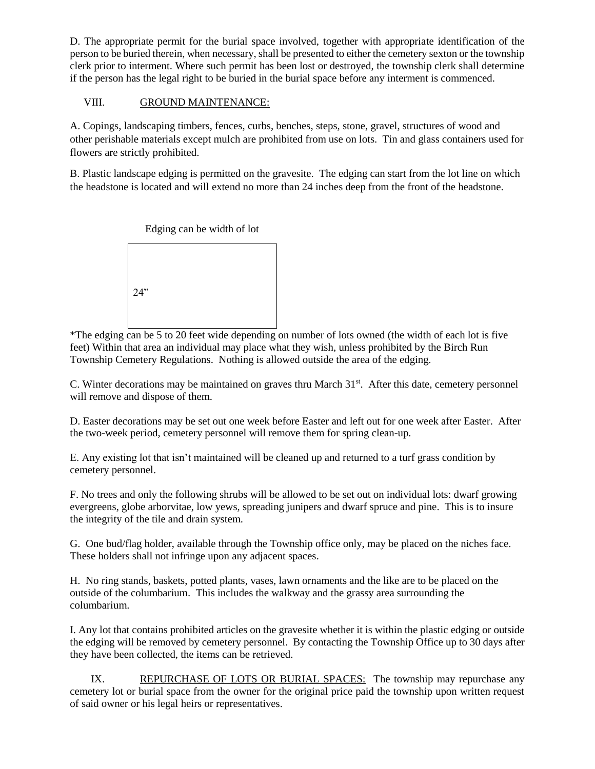D. The appropriate permit for the burial space involved, together with appropriate identification of the person to be buried therein, when necessary, shall be presented to either the cemetery sexton or the township clerk prior to interment. Where such permit has been lost or destroyed, the township clerk shall determine if the person has the legal right to be buried in the burial space before any interment is commenced.

## VIII. GROUND MAINTENANCE:

A. Copings, landscaping timbers, fences, curbs, benches, steps, stone, gravel, structures of wood and other perishable materials except mulch are prohibited from use on lots. Tin and glass containers used for flowers are strictly prohibited.

B. Plastic landscape edging is permitted on the gravesite. The edging can start from the lot line on which the headstone is located and will extend no more than 24 inches deep from the front of the headstone.



\*The edging can be 5 to 20 feet wide depending on number of lots owned (the width of each lot is five feet) Within that area an individual may place what they wish, unless prohibited by the Birch Run Township Cemetery Regulations. Nothing is allowed outside the area of the edging.

C. Winter decorations may be maintained on graves thru March 31<sup>st</sup>. After this date, cemetery personnel will remove and dispose of them.

D. Easter decorations may be set out one week before Easter and left out for one week after Easter. After the two-week period, cemetery personnel will remove them for spring clean-up.

E. Any existing lot that isn't maintained will be cleaned up and returned to a turf grass condition by cemetery personnel.

F. No trees and only the following shrubs will be allowed to be set out on individual lots: dwarf growing evergreens, globe arborvitae, low yews, spreading junipers and dwarf spruce and pine. This is to insure the integrity of the tile and drain system.

G. One bud/flag holder, available through the Township office only, may be placed on the niches face. These holders shall not infringe upon any adjacent spaces.

H. No ring stands, baskets, potted plants, vases, lawn ornaments and the like are to be placed on the outside of the columbarium. This includes the walkway and the grassy area surrounding the columbarium.

I. Any lot that contains prohibited articles on the gravesite whether it is within the plastic edging or outside the edging will be removed by cemetery personnel. By contacting the Township Office up to 30 days after they have been collected, the items can be retrieved.

IX. REPURCHASE OF LOTS OR BURIAL SPACES: The township may repurchase any cemetery lot or burial space from the owner for the original price paid the township upon written request of said owner or his legal heirs or representatives.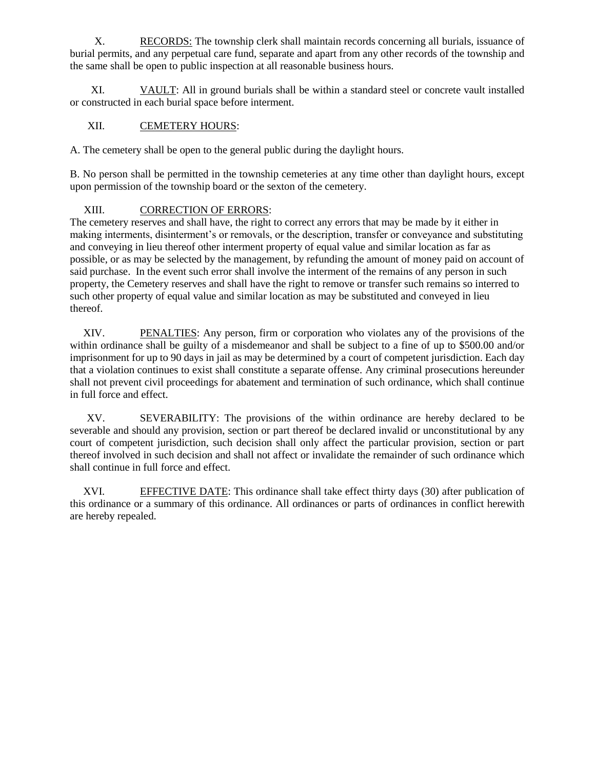X. RECORDS: The township clerk shall maintain records concerning all burials, issuance of burial permits, and any perpetual care fund, separate and apart from any other records of the township and the same shall be open to public inspection at all reasonable business hours.

XI. VAULT: All in ground burials shall be within a standard steel or concrete vault installed or constructed in each burial space before interment.

## XII. CEMETERY HOURS:

A. The cemetery shall be open to the general public during the daylight hours.

B. No person shall be permitted in the township cemeteries at any time other than daylight hours, except upon permission of the township board or the sexton of the cemetery.

# XIII. CORRECTION OF ERRORS:

The cemetery reserves and shall have, the right to correct any errors that may be made by it either in making interments, disinterment's or removals, or the description, transfer or conveyance and substituting and conveying in lieu thereof other interment property of equal value and similar location as far as possible, or as may be selected by the management, by refunding the amount of money paid on account of said purchase. In the event such error shall involve the interment of the remains of any person in such property, the Cemetery reserves and shall have the right to remove or transfer such remains so interred to such other property of equal value and similar location as may be substituted and conveyed in lieu thereof.

XIV. PENALTIES: Any person, firm or corporation who violates any of the provisions of the within ordinance shall be guilty of a misdemeanor and shall be subject to a fine of up to \$500.00 and/or imprisonment for up to 90 days in jail as may be determined by a court of competent jurisdiction. Each day that a violation continues to exist shall constitute a separate offense. Any criminal prosecutions hereunder shall not prevent civil proceedings for abatement and termination of such ordinance, which shall continue in full force and effect.

XV. SEVERABILITY: The provisions of the within ordinance are hereby declared to be severable and should any provision, section or part thereof be declared invalid or unconstitutional by any court of competent jurisdiction, such decision shall only affect the particular provision, section or part thereof involved in such decision and shall not affect or invalidate the remainder of such ordinance which shall continue in full force and effect.

XVI. EFFECTIVE DATE: This ordinance shall take effect thirty days (30) after publication of this ordinance or a summary of this ordinance. All ordinances or parts of ordinances in conflict herewith are hereby repealed.